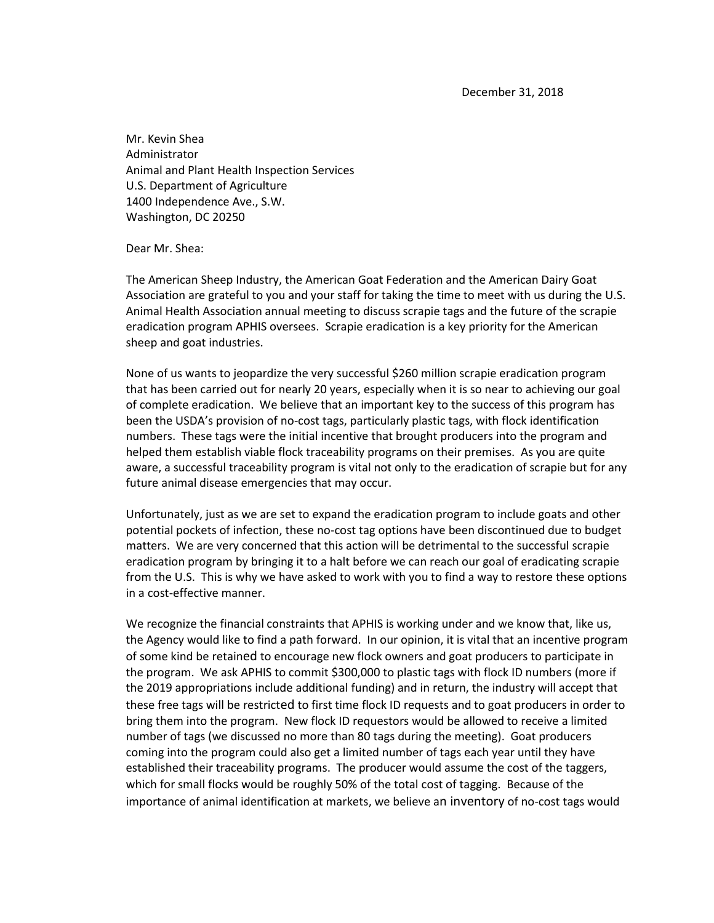December 31, 2018

Mr. Kevin Shea Administrator Animal and Plant Health Inspection Services U.S. Department of Agriculture 1400 Independence Ave., S.W. Washington, DC 20250

Dear Mr. Shea:

The American Sheep Industry, the American Goat Federation and the American Dairy Goat Association are grateful to you and your staff for taking the time to meet with us during the U.S. Animal Health Association annual meeting to discuss scrapie tags and the future of the scrapie eradication program APHIS oversees. Scrapie eradication is a key priority for the American sheep and goat industries.

None of us wants to jeopardize the very successful \$260 million scrapie eradication program that has been carried out for nearly 20 years, especially when it is so near to achieving our goal of complete eradication. We believe that an important key to the success of this program has been the USDA's provision of no-cost tags, particularly plastic tags, with flock identification numbers. These tags were the initial incentive that brought producers into the program and helped them establish viable flock traceability programs on their premises. As you are quite aware, a successful traceability program is vital not only to the eradication of scrapie but for any future animal disease emergencies that may occur.

Unfortunately, just as we are set to expand the eradication program to include goats and other potential pockets of infection, these no-cost tag options have been discontinued due to budget matters. We are very concerned that this action will be detrimental to the successful scrapie eradication program by bringing it to a halt before we can reach our goal of eradicating scrapie from the U.S. This is why we have asked to work with you to find a way to restore these options in a cost-effective manner.

We recognize the financial constraints that APHIS is working under and we know that, like us, the Agency would like to find a path forward. In our opinion, it is vital that an incentive program of some kind be retained to encourage new flock owners and goat producers to participate in the program. We ask APHIS to commit \$300,000 to plastic tags with flock ID numbers (more if the 2019 appropriations include additional funding) and in return, the industry will accept that these free tags will be restricted to first time flock ID requests and to goat producers in order to bring them into the program. New flock ID requestors would be allowed to receive a limited number of tags (we discussed no more than 80 tags during the meeting). Goat producers coming into the program could also get a limited number of tags each year until they have established their traceability programs. The producer would assume the cost of the taggers, which for small flocks would be roughly 50% of the total cost of tagging. Because of the importance of animal identification at markets, we believe an inventory of no-cost tags would